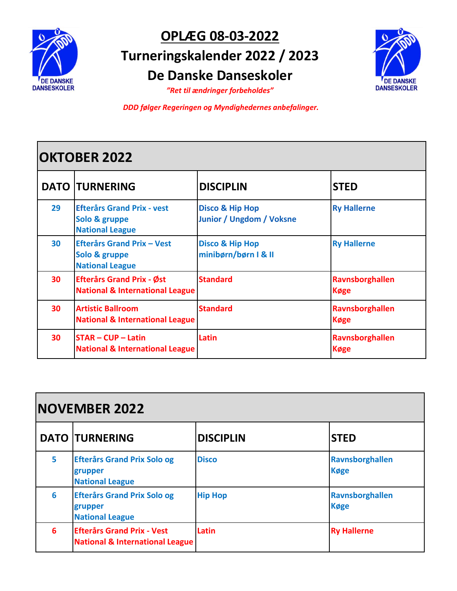

## **OPLÆG 08-03-2022 Turneringskalender 2022 / 2023 De Danske Danseskoler**



*"Ret til ændringer forbeholdes"*

*DDD følger Regeringen og Myndighedernes anbefalinger.*

## **OKTOBER 2022**

|    | <b>DATO TURNERING</b>                                                          | <b>DISCIPLIN</b>                                              | <b>STED</b>                           |
|----|--------------------------------------------------------------------------------|---------------------------------------------------------------|---------------------------------------|
| 29 | <b>Efterårs Grand Prix - vest</b><br>Solo & gruppe<br><b>National League</b>   | <b>Disco &amp; Hip Hop</b><br><b>Junior / Ungdom / Voksne</b> | <b>Ry Hallerne</b>                    |
| 30 | <b>Efterårs Grand Prix - Vest</b><br>Solo & gruppe<br><b>National League</b>   | <b>Disco &amp; Hip Hop</b><br>minibørn/børn I & II            | <b>Ry Hallerne</b>                    |
| 30 | <b>Efterårs Grand Prix - Øst</b><br><b>National &amp; International League</b> | <b>Standard</b>                                               | Ravnsborghallen<br><b>Køge</b>        |
| 30 | <b>Artistic Ballroom</b><br><b>National &amp; International League</b>         | <b>Standard</b>                                               | <b>Ravnsborghallen</b><br><b>Køge</b> |
| 30 | <b>STAR-CUP-Latin</b><br><b>National &amp; International League</b>            | Latin                                                         | Ravnsborghallen<br><b>Køge</b>        |

| <b>NOVEMBER 2022</b> |                                                                                 |                  |                                |
|----------------------|---------------------------------------------------------------------------------|------------------|--------------------------------|
|                      | <b>DATO TURNERING</b>                                                           | <b>DISCIPLIN</b> | <b>STED</b>                    |
| 5                    | <b>Efterårs Grand Prix Solo og</b><br>grupper<br><b>National League</b>         | <b>Disco</b>     | Ravnsborghallen<br><b>Køge</b> |
| 6                    | <b>Efterårs Grand Prix Solo og</b><br>grupper<br><b>National League</b>         | <b>Hip Hop</b>   | Ravnsborghallen<br><b>Køge</b> |
| 6                    | <b>Efterårs Grand Prix - Vest</b><br><b>National &amp; International League</b> | Latin            | <b>Ry Hallerne</b>             |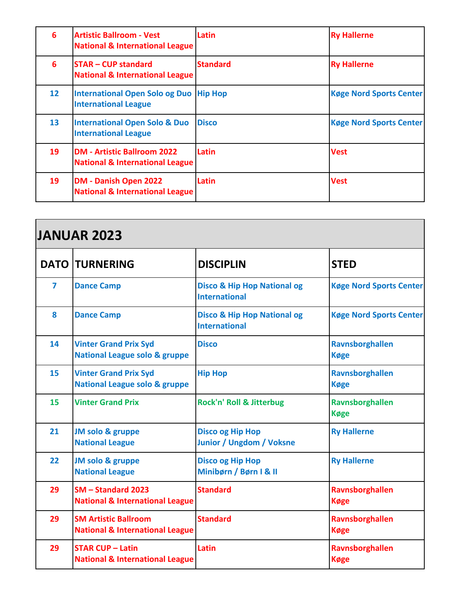| 6               | <b>Artistic Ballroom - Vest</b><br><b>National &amp; International League</b>    | Latin           | <b>Ry Hallerne</b>             |
|-----------------|----------------------------------------------------------------------------------|-----------------|--------------------------------|
| 6               | <b>STAR - CUP standard</b><br><b>National &amp; International League</b>         | <b>Standard</b> | <b>Ry Hallerne</b>             |
| 12 <sup>2</sup> | International Open Solo og Duo   Hip Hop<br><b>International League</b>          |                 | <b>Køge Nord Sports Center</b> |
| 13 <sup>°</sup> | <b>International Open Solo &amp; Duo</b><br><b>International League</b>          | <b>Disco</b>    | <b>Køge Nord Sports Center</b> |
| 19              | <b>DM - Artistic Ballroom 2022</b><br><b>National &amp; International League</b> | Latin           | <b>Vest</b>                    |
| 19              | <b>DM - Danish Open 2022</b><br><b>National &amp; International League</b>       | Latin           | <b>Vest</b>                    |

| <b>JANUAR 2023</b> |                                                                           |                                                                |                                |
|--------------------|---------------------------------------------------------------------------|----------------------------------------------------------------|--------------------------------|
|                    | <b>DATO TURNERING</b>                                                     | <b>DISCIPLIN</b>                                               | <b>STED</b>                    |
| 7                  | <b>Dance Camp</b>                                                         | <b>Disco &amp; Hip Hop National og</b><br><b>International</b> | <b>Køge Nord Sports Center</b> |
| 8                  | <b>Dance Camp</b>                                                         | <b>Disco &amp; Hip Hop National og</b><br><b>International</b> | <b>Køge Nord Sports Center</b> |
| 14                 | <b>Vinter Grand Prix Syd</b><br><b>National League solo &amp; gruppe</b>  | <b>Disco</b>                                                   | Ravnsborghallen<br><b>Køge</b> |
| 15                 | <b>Vinter Grand Prix Syd</b><br><b>National League solo &amp; gruppe</b>  | <b>Hip Hop</b>                                                 | Ravnsborghallen<br><b>Køge</b> |
| 15                 | <b>Vinter Grand Prix</b>                                                  | Rock'n' Roll & Jitterbug                                       | Ravnsborghallen<br><b>Køge</b> |
| 21                 | JM solo & gruppe<br><b>National League</b>                                | <b>Disco og Hip Hop</b><br><b>Junior / Ungdom / Voksne</b>     | <b>Ry Hallerne</b>             |
| 22                 | JM solo & gruppe<br><b>National League</b>                                | <b>Disco og Hip Hop</b><br>Minibørn / Børn I & II              | <b>Ry Hallerne</b>             |
| 29                 | SM-Standard 2023<br><b>National &amp; International League</b>            | <b>Standard</b>                                                | Ravnsborghallen<br><b>Køge</b> |
| 29                 | <b>SM Artistic Ballroom</b><br><b>National &amp; International League</b> | <b>Standard</b>                                                | Ravnsborghallen<br><b>Køge</b> |
| 29                 | <b>STAR CUP - Latin</b><br><b>National &amp; International League</b>     | Latin                                                          | Ravnsborghallen<br><b>Køge</b> |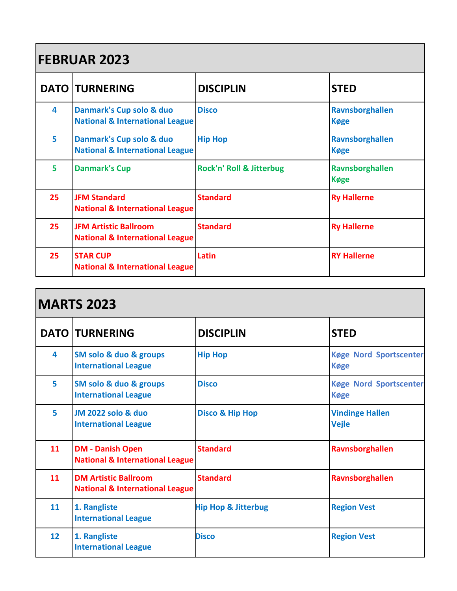| <b>FEBRUAR 2023</b> |                                                                            |                                     |                                |
|---------------------|----------------------------------------------------------------------------|-------------------------------------|--------------------------------|
|                     | <b>DATO TURNERING</b>                                                      | <b>DISCIPLIN</b>                    | <b>STED</b>                    |
| 4                   | Danmark's Cup solo & duo<br><b>National &amp; International League</b>     | <b>Disco</b>                        | Ravnsborghallen<br><b>Køge</b> |
| 5                   | Danmark's Cup solo & duo<br><b>National &amp; International League</b>     | <b>Hip Hop</b>                      | Ravnsborghallen<br><b>Køge</b> |
| 5                   | <b>Danmark's Cup</b>                                                       | <b>Rock'n' Roll &amp; Jitterbug</b> | Ravnsborghallen<br><b>Køge</b> |
| 25                  | <b>JFM Standard</b><br><b>National &amp; International League</b>          | <b>Standard</b>                     | <b>Ry Hallerne</b>             |
| 25                  | <b>JFM Artistic Ballroom</b><br><b>National &amp; International League</b> | <b>Standard</b>                     | <b>Ry Hallerne</b>             |
| 25                  | <b>STAR CUP</b><br><b>National &amp; International League</b>              | Latin                               | <b>RY Hallerne</b>             |

| <b>MARTS 2023</b> |                                                                           |                                |                                              |
|-------------------|---------------------------------------------------------------------------|--------------------------------|----------------------------------------------|
|                   | <b>DATO   TURNERING</b>                                                   | <b>DISCIPLIN</b>               | <b>STED</b>                                  |
| 4                 | SM solo & duo & groups<br><b>International League</b>                     | <b>Hip Hop</b>                 | <b>Køge Nord Sportscenter</b><br><b>Køge</b> |
| 5                 | SM solo & duo & groups<br><b>International League</b>                     | <b>Disco</b>                   | <b>Køge Nord Sportscenter</b><br><b>Køge</b> |
| 5                 | <b>JM 2022 solo &amp; duo</b><br><b>International League</b>              | <b>Disco &amp; Hip Hop</b>     | <b>Vindinge Hallen</b><br><b>Vejle</b>       |
| 11                | <b>DM - Danish Open</b><br><b>National &amp; International League</b>     | <b>Standard</b>                | Ravnsborghallen                              |
| 11                | <b>DM Artistic Ballroom</b><br><b>National &amp; International League</b> | <b>Standard</b>                | Ravnsborghallen                              |
| 11                | 1. Rangliste<br><b>International League</b>                               | <b>Hip Hop &amp; Jitterbug</b> | <b>Region Vest</b>                           |
| 12                | 1. Rangliste<br><b>International League</b>                               | <b>Disco</b>                   | <b>Region Vest</b>                           |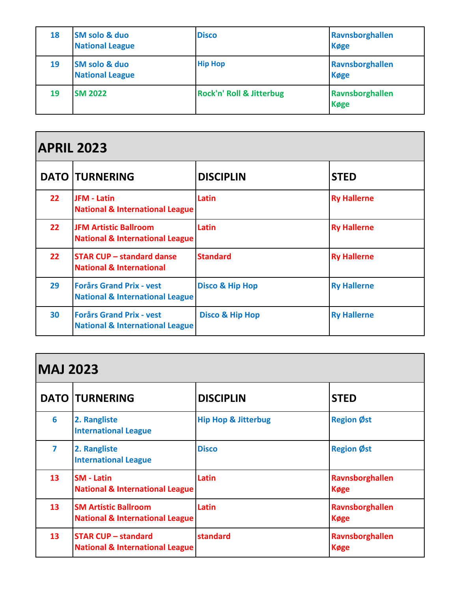| 18 | <b>SM solo &amp; duo</b><br><b>National League</b> | <b>Disco</b>             | Ravnsborghallen<br><b>Køge</b> |
|----|----------------------------------------------------|--------------------------|--------------------------------|
| 19 | <b>SM solo &amp; duo</b><br><b>National League</b> | <b>Hip Hop</b>           | Ravnsborghallen<br><b>Køge</b> |
| 19 | <b>SM 2022</b>                                     | Rock'n' Roll & Jitterbug | Ravnsborghallen<br><b>Køge</b> |

## **APRIL 2023**

|                 | <b>DATO TURNERING</b>                                                         | <b>DISCIPLIN</b>           | <b>STED</b>        |
|-----------------|-------------------------------------------------------------------------------|----------------------------|--------------------|
| 22              | <b>JFM - Latin</b><br><b>National &amp; International League</b>              | Latin                      | <b>Ry Hallerne</b> |
| 22 <sub>2</sub> | <b>JFM Artistic Ballroom</b><br><b>National &amp; International League</b>    | Latin                      | <b>Ry Hallerne</b> |
| 22              | <b>STAR CUP - standard danse</b><br><b>National &amp; International</b>       | <b>Standard</b>            | <b>Ry Hallerne</b> |
| 29              | <b>Forårs Grand Prix - vest</b><br><b>National &amp; International League</b> | <b>Disco &amp; Hip Hop</b> | <b>Ry Hallerne</b> |
| 30              | <b>Forårs Grand Prix - vest</b><br><b>National &amp; International League</b> | <b>Disco &amp; Hip Hop</b> | <b>Ry Hallerne</b> |

## **MAJ 2023**

|                 | <b>DATO TURNERING</b>                                                     | <b>DISCIPLIN</b>               | <b>STED</b>                    |  |
|-----------------|---------------------------------------------------------------------------|--------------------------------|--------------------------------|--|
| 6               | 2. Rangliste<br><b>International League</b>                               | <b>Hip Hop &amp; Jitterbug</b> | <b>Region Øst</b>              |  |
| 7               | 2. Rangliste<br><b>International League</b>                               | <b>Disco</b>                   | <b>Region Øst</b>              |  |
| 13              | <b>SM - Latin</b><br><b>National &amp; International League</b>           | Latin                          | Ravnsborghallen<br><b>Køge</b> |  |
| 13 <sup>2</sup> | <b>SM Artistic Ballroom</b><br><b>National &amp; International League</b> | Latin                          | Ravnsborghallen<br><b>Køge</b> |  |
| 13 <sup>2</sup> | <b>STAR CUP - standard</b><br><b>National &amp; International League</b>  | standard                       | Ravnsborghallen<br><b>Køge</b> |  |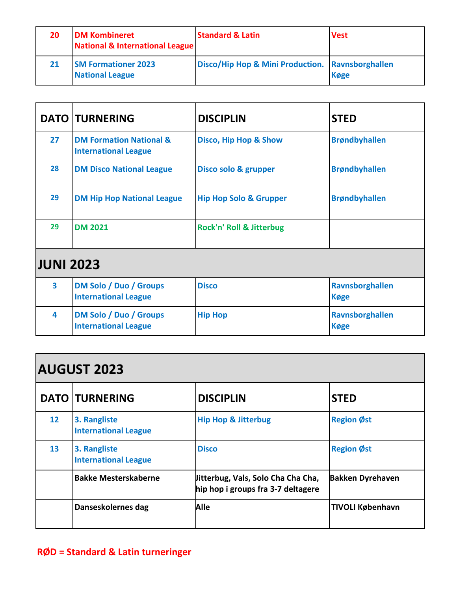| 20 | <b>DM Kombineret</b><br>National & International League | <b>Standard &amp; Latin</b>                      | <b>Vest</b> |
|----|---------------------------------------------------------|--------------------------------------------------|-------------|
| 21 | <b>SM Formationer 2023</b><br><b>National League</b>    | Disco/Hip Hop & Mini Production. Ravnsborghallen | <b>Køge</b> |

|                         | <b>DATO TURNERING</b>                                             | <b>DISCIPLIN</b>                    | <b>STED</b>                    |
|-------------------------|-------------------------------------------------------------------|-------------------------------------|--------------------------------|
| 27                      | <b>DM Formation National &amp;</b><br><b>International League</b> | <b>Disco, Hip Hop &amp; Show</b>    | <b>Brøndbyhallen</b>           |
| 28                      | <b>DM Disco National League</b>                                   | Disco solo & grupper                | <b>Brøndbyhallen</b>           |
| 29                      | <b>DM Hip Hop National League</b>                                 | <b>Hip Hop Solo &amp; Grupper</b>   | <b>Brøndbyhallen</b>           |
| 29                      | <b>DM 2021</b>                                                    | <b>Rock'n' Roll &amp; Jitterbug</b> |                                |
| <b>JUNI 2023</b>        |                                                                   |                                     |                                |
| $\overline{\mathbf{3}}$ | <b>DM Solo / Duo / Groups</b><br><b>International League</b>      | <b>Disco</b>                        | Ravnsborghallen<br><b>Køge</b> |
| 4                       | <b>DM Solo / Duo / Groups</b><br><b>International League</b>      | <b>Hip Hop</b>                      | Ravnsborghallen<br><b>Køge</b> |

| <b>AUGUST 2023</b> |                                             |                                                                          |                         |
|--------------------|---------------------------------------------|--------------------------------------------------------------------------|-------------------------|
|                    | <b>DATO TURNERING</b>                       | <b>DISCIPLIN</b>                                                         | <b>STED</b>             |
| 12 <sup>2</sup>    | 3. Rangliste<br><b>International League</b> | <b>Hip Hop &amp; Jitterbug</b>                                           | <b>Region Øst</b>       |
| 13                 | 3. Rangliste<br><b>International League</b> | <b>Disco</b>                                                             | <b>Region Øst</b>       |
|                    | <b>Bakke Mesterskaberne</b>                 | litterbug, Vals, Solo Cha Cha Cha,<br>hip hop i groups fra 3-7 deltagere | <b>Bakken Dyrehaven</b> |
|                    | Danseskolernes dag                          | <b>Alle</b>                                                              | <b>TIVOLI København</b> |